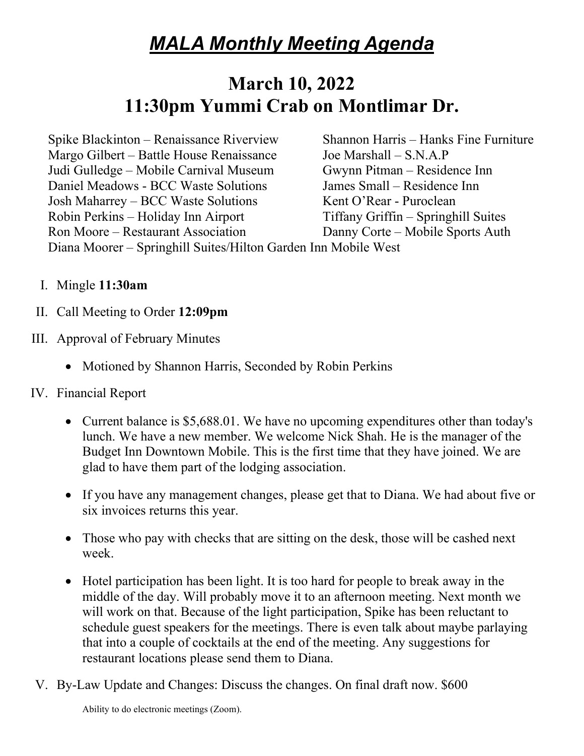## *MALA Monthly Meeting Agenda*

## **March 10, 2022 11:30pm Yummi Crab on Montlimar Dr.**

Spike Blackinton – Renaissance Riverview Shannon Harris – Hanks Fine Furniture Margo Gilbert – Battle House Renaissance Joe Marshall – S.N.A.P Judi Gulledge – Mobile Carnival Museum Gwynn Pitman – Residence Inn Daniel Meadows - BCC Waste Solutions James Small – Residence Inn Josh Maharrey – BCC Waste Solutions Kent O'Rear - Puroclean Robin Perkins – Holiday Inn Airport Tiffany Griffin – Springhill Suites Ron Moore – Restaurant Association Danny Corte – Mobile Sports Auth Diana Moorer – Springhill Suites/Hilton Garden Inn Mobile West

I. Mingle **11:30am**

- II. Call Meeting to Order **12:09pm**
- III. Approval of February Minutes
	- Motioned by Shannon Harris, Seconded by Robin Perkins
- IV. Financial Report
	- Current balance is \$5,688.01. We have no upcoming expenditures other than today's lunch. We have a new member. We welcome Nick Shah. He is the manager of the Budget Inn Downtown Mobile. This is the first time that they have joined. We are glad to have them part of the lodging association.
	- If you have any management changes, please get that to Diana. We had about five or six invoices returns this year.
	- Those who pay with checks that are sitting on the desk, those will be cashed next week.
	- Hotel participation has been light. It is too hard for people to break away in the middle of the day. Will probably move it to an afternoon meeting. Next month we will work on that. Because of the light participation, Spike has been reluctant to schedule guest speakers for the meetings. There is even talk about maybe parlaying that into a couple of cocktails at the end of the meeting. Any suggestions for restaurant locations please send them to Diana.

V. By-Law Update and Changes: Discuss the changes. On final draft now. \$600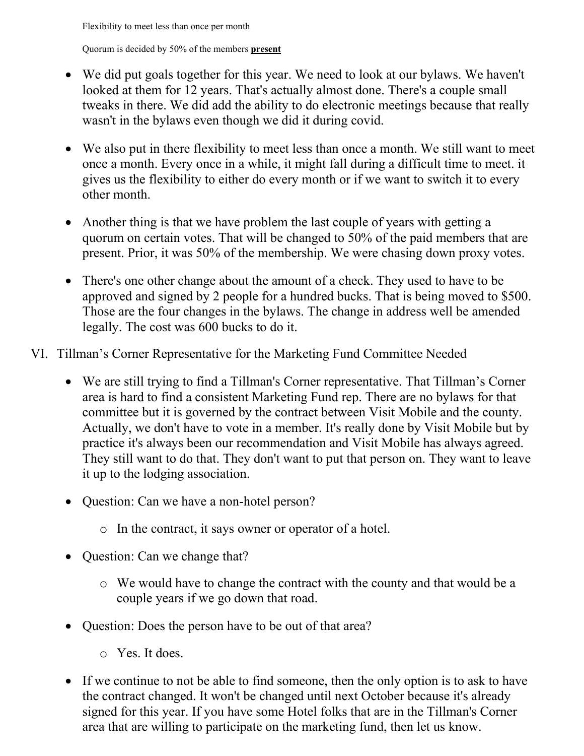Flexibility to meet less than once per month

Quorum is decided by 50% of the members **present**

- We did put goals together for this year. We need to look at our bylaws. We haven't looked at them for 12 years. That's actually almost done. There's a couple small tweaks in there. We did add the ability to do electronic meetings because that really wasn't in the bylaws even though we did it during covid.
- We also put in there flexibility to meet less than once a month. We still want to meet once a month. Every once in a while, it might fall during a difficult time to meet. it gives us the flexibility to either do every month or if we want to switch it to every other month.
- Another thing is that we have problem the last couple of years with getting a quorum on certain votes. That will be changed to 50% of the paid members that are present. Prior, it was 50% of the membership. We were chasing down proxy votes.
- There's one other change about the amount of a check. They used to have to be approved and signed by 2 people for a hundred bucks. That is being moved to \$500. Those are the four changes in the bylaws. The change in address well be amended legally. The cost was 600 bucks to do it.
- VI. Tillman's Corner Representative for the Marketing Fund Committee Needed
	- We are still trying to find a Tillman's Corner representative. That Tillman's Corner area is hard to find a consistent Marketing Fund rep. There are no bylaws for that committee but it is governed by the contract between Visit Mobile and the county. Actually, we don't have to vote in a member. It's really done by Visit Mobile but by practice it's always been our recommendation and Visit Mobile has always agreed. They still want to do that. They don't want to put that person on. They want to leave it up to the lodging association.
	- Question: Can we have a non-hotel person?
		- o In the contract, it says owner or operator of a hotel.
	- Question: Can we change that?
		- o We would have to change the contract with the county and that would be a couple years if we go down that road.
	- Question: Does the person have to be out of that area?
		- o Yes. It does.
	- If we continue to not be able to find someone, then the only option is to ask to have the contract changed. It won't be changed until next October because it's already signed for this year. If you have some Hotel folks that are in the Tillman's Corner area that are willing to participate on the marketing fund, then let us know.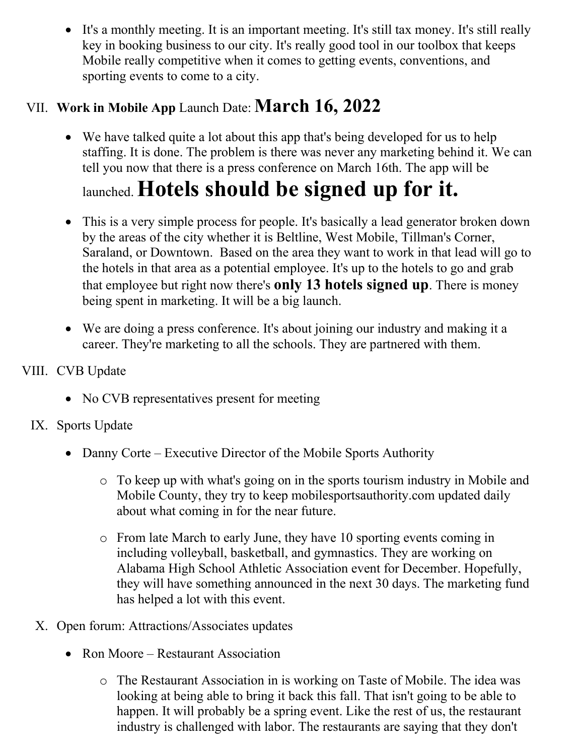• It's a monthly meeting. It is an important meeting. It's still tax money. It's still really key in booking business to our city. It's really good tool in our toolbox that keeps Mobile really competitive when it comes to getting events, conventions, and sporting events to come to a city.

### VII. **Work in Mobile App** Launch Date: **March 16, 2022**

• We have talked quite a lot about this app that's being developed for us to help staffing. It is done. The problem is there was never any marketing behind it. We can tell you now that there is a press conference on March 16th. The app will be

# launched. **Hotels should be signed up for it.**

- This is a very simple process for people. It's basically a lead generator broken down by the areas of the city whether it is Beltline, West Mobile, Tillman's Corner, Saraland, or Downtown. Based on the area they want to work in that lead will go to the hotels in that area as a potential employee. It's up to the hotels to go and grab that employee but right now there's **only 13 hotels signed up**. There is money being spent in marketing. It will be a big launch.
- We are doing a press conference. It's about joining our industry and making it a career. They're marketing to all the schools. They are partnered with them.

### VIII. CVB Update

• No CVB representatives present for meeting

### IX. Sports Update

- Danny Corte Executive Director of the Mobile Sports Authority
	- o To keep up with what's going on in the sports tourism industry in Mobile and Mobile County, they try to keep mobilesportsauthority.com updated daily about what coming in for the near future.
	- o From late March to early June, they have 10 sporting events coming in including volleyball, basketball, and gymnastics. They are working on Alabama High School Athletic Association event for December. Hopefully, they will have something announced in the next 30 days. The marketing fund has helped a lot with this event.
- X. Open forum: Attractions/Associates updates
	- Ron Moore Restaurant Association
		- o The Restaurant Association in is working on Taste of Mobile. The idea was looking at being able to bring it back this fall. That isn't going to be able to happen. It will probably be a spring event. Like the rest of us, the restaurant industry is challenged with labor. The restaurants are saying that they don't